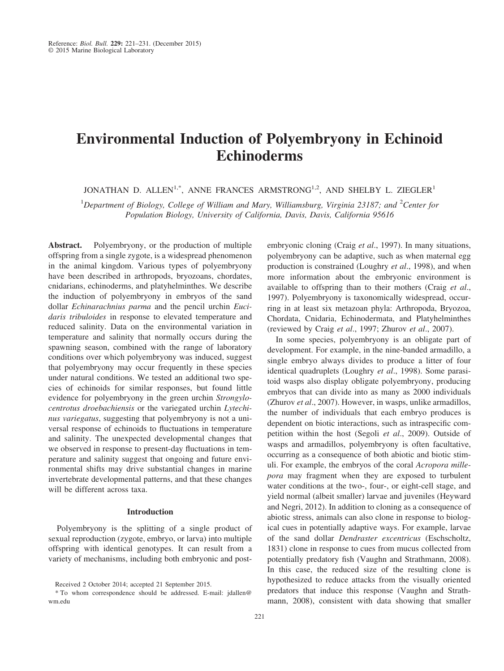# **Environmental Induction of Polyembryony in Echinoid Echinoderms**

JONATHAN D. ALLEN<sup>1,\*</sup>, ANNE FRANCES ARMSTRONG<sup>1,2</sup>, AND SHELBY L. ZIEGLER<sup>1</sup>

<sup>1</sup>Department of Biology, College of William and Mary, Williamsburg, Virginia 23187; and <sup>2</sup>Center for *Population Biology, University of California, Davis, Davis, California 95616*

**Abstract.** Polyembryony, or the production of multiple offspring from a single zygote, is a widespread phenomenon in the animal kingdom. Various types of polyembryony have been described in arthropods, bryozoans, chordates, cnidarians, echinoderms, and platyhelminthes. We describe the induction of polyembryony in embryos of the sand dollar *Echinarachnius parma* and the pencil urchin *Eucidaris tribuloides* in response to elevated temperature and reduced salinity. Data on the environmental variation in temperature and salinity that normally occurs during the spawning season, combined with the range of laboratory conditions over which polyembryony was induced, suggest that polyembryony may occur frequently in these species under natural conditions. We tested an additional two species of echinoids for similar responses, but found little evidence for polyembryony in the green urchin *Strongylocentrotus droebachiensis* or the variegated urchin *Lytechinus variegatus*, suggesting that polyembryony is not a universal response of echinoids to fluctuations in temperature and salinity. The unexpected developmental changes that we observed in response to present-day fluctuations in temperature and salinity suggest that ongoing and future environmental shifts may drive substantial changes in marine invertebrate developmental patterns, and that these changes will be different across taxa.

## **Introduction**

Polyembryony is the splitting of a single product of sexual reproduction (zygote, embryo, or larva) into multiple offspring with identical genotypes. It can result from a variety of mechanisms, including both embryonic and postembryonic cloning (Craig *et al*., 1997). In many situations, polyembryony can be adaptive, such as when maternal egg production is constrained (Loughry *et al*., 1998), and when more information about the embryonic environment is available to offspring than to their mothers (Craig *et al*., 1997). Polyembryony is taxonomically widespread, occurring in at least six metazoan phyla: Arthropoda, Bryozoa, Chordata, Cnidaria, Echinodermata, and Platyhelminthes (reviewed by Craig *et al*., 1997; Zhurov *et al*., 2007).

In some species, polyembryony is an obligate part of development. For example, in the nine-banded armadillo, a single embryo always divides to produce a litter of four identical quadruplets (Loughry *et al*., 1998). Some parasitoid wasps also display obligate polyembryony, producing embryos that can divide into as many as 2000 individuals (Zhurov *et al*., 2007). However, in wasps, unlike armadillos, the number of individuals that each embryo produces is dependent on biotic interactions, such as intraspecific competition within the host (Segoli *et al*., 2009). Outside of wasps and armadillos, polyembryony is often facultative, occurring as a consequence of both abiotic and biotic stimuli. For example, the embryos of the coral *Acropora millepora* may fragment when they are exposed to turbulent water conditions at the two-, four-, or eight-cell stage, and yield normal (albeit smaller) larvae and juveniles (Heyward and Negri, 2012). In addition to cloning as a consequence of abiotic stress, animals can also clone in response to biological cues in potentially adaptive ways. For example, larvae of the sand dollar *Dendraster excentricus* (Eschscholtz, 1831) clone in response to cues from mucus collected from potentially predatory fish (Vaughn and Strathmann, 2008). In this case, the reduced size of the resulting clone is hypothesized to reduce attacks from the visually oriented predators that induce this response (Vaughn and Strathmann, 2008), consistent with data showing that smaller

Received 2 October 2014; accepted 21 September 2015.

<sup>\*</sup> To whom correspondence should be addressed. E-mail: jdallen@ wm.edu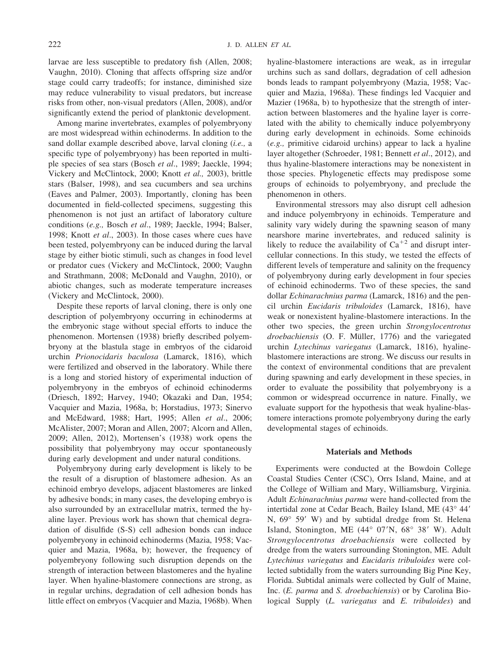larvae are less susceptible to predatory fish (Allen, 2008; Vaughn, 2010). Cloning that affects offspring size and/or stage could carry tradeoffs; for instance, diminished size may reduce vulnerability to visual predators, but increase risks from other, non-visual predators (Allen, 2008), and/or significantly extend the period of planktonic development.

Among marine invertebrates, examples of polyembryony are most widespread within echinoderms. In addition to the sand dollar example described above, larval cloning (*i.e.,* a specific type of polyembryony) has been reported in multiple species of sea stars (Bosch *et al*., 1989; Jaeckle, 1994; Vickery and McClintock, 2000; Knott *et al.,* 2003), brittle stars (Balser, 1998), and sea cucumbers and sea urchins (Eaves and Palmer, 2003). Importantly, cloning has been documented in field-collected specimens, suggesting this phenomenon is not just an artifact of laboratory culture conditions (*e.g.,* Bosch *et al*., 1989; Jaeckle, 1994; Balser, 1998; Knott *et al*., 2003). In those cases where cues have been tested, polyembryony can be induced during the larval stage by either biotic stimuli, such as changes in food level or predator cues (Vickery and McClintock, 2000; Vaughn and Strathmann, 2008; McDonald and Vaughn, 2010), or abiotic changes, such as moderate temperature increases (Vickery and McClintock, 2000).

Despite these reports of larval cloning, there is only one description of polyembryony occurring in echinoderms at the embryonic stage without special efforts to induce the phenomenon. Mortensen (1938) briefly described polyembryony at the blastula stage in embryos of the cidaroid urchin *Prionocidaris baculosa* (Lamarck, 1816), which were fertilized and observed in the laboratory. While there is a long and storied history of experimental induction of polyembryony in the embryos of echinoid echinoderms (Driesch, 1892; Harvey, 1940; Okazaki and Dan, 1954; Vacquier and Mazia, 1968a, b; Horstadius, 1973; Sinervo and McEdward, 1988; Hart, 1995; Allen *et al*., 2006; McAlister, 2007; Moran and Allen, 2007; Alcorn and Allen, 2009; Allen, 2012), Mortensen's (1938) work opens the possibility that polyembryony may occur spontaneously during early development and under natural conditions.

Polyembryony during early development is likely to be the result of a disruption of blastomere adhesion. As an echinoid embryo develops, adjacent blastomeres are linked by adhesive bonds; in many cases, the developing embryo is also surrounded by an extracellular matrix, termed the hyaline layer. Previous work has shown that chemical degradation of disulfide (S-S) cell adhesion bonds can induce polyembryony in echinoid echinoderms (Mazia, 1958; Vacquier and Mazia, 1968a, b); however, the frequency of polyembryony following such disruption depends on the strength of interaction between blastomeres and the hyaline layer. When hyaline-blastomere connections are strong, as in regular urchins, degradation of cell adhesion bonds has little effect on embryos (Vacquier and Mazia, 1968b). When

hyaline-blastomere interactions are weak, as in irregular urchins such as sand dollars, degradation of cell adhesion bonds leads to rampant polyembryony (Mazia, 1958; Vacquier and Mazia, 1968a). These findings led Vacquier and Mazier (1968a, b) to hypothesize that the strength of interaction between blastomeres and the hyaline layer is correlated with the ability to chemically induce polyembryony during early development in echinoids. Some echinoids (*e.g.,* primitive cidaroid urchins) appear to lack a hyaline layer altogether (Schroeder, 1981; Bennett *et al*., 2012), and thus hyaline-blastomere interactions may be nonexistent in those species. Phylogenetic effects may predispose some groups of echinoids to polyembryony, and preclude the phenomenon in others.

Environmental stressors may also disrupt cell adhesion and induce polyembryony in echinoids. Temperature and salinity vary widely during the spawning season of many nearshore marine invertebrates, and reduced salinity is likely to reduce the availability of  $Ca^{+2}$  and disrupt intercellular connections. In this study, we tested the effects of different levels of temperature and salinity on the frequency of polyembryony during early development in four species of echinoid echinoderms. Two of these species, the sand dollar *Echinarachnius parma* (Lamarck, 1816) and the pencil urchin *Eucidaris tribuloides* (Lamarck, 1816), have weak or nonexistent hyaline-blastomere interactions. In the other two species, the green urchin *Strongylocentrotus droebachiensis* (O. F. Müller, 1776) and the variegated urchin *Lytechinus variegatus* (Lamarck, 1816), hyalineblastomere interactions are strong. We discuss our results in the context of environmental conditions that are prevalent during spawning and early development in these species, in order to evaluate the possibility that polyembryony is a common or widespread occurrence in nature. Finally, we evaluate support for the hypothesis that weak hyaline-blastomere interactions promote polyembryony during the early developmental stages of echinoids.

## **Materials and Methods**

Experiments were conducted at the Bowdoin College Coastal Studies Center (CSC), Orrs Island, Maine, and at the College of William and Mary, Williamsburg, Virginia. Adult *Echinarachnius parma* were hand-collected from the intertidal zone at Cedar Beach, Bailey Island, ME (43° 44" N,  $69^{\circ}$  59' W) and by subtidal dredge from St. Helena Island, Stonington, ME (44° 07'N, 68° 38' W). Adult *Strongylocentrotus droebachiensis* were collected by dredge from the waters surrounding Stonington, ME. Adult *Lytechinus variegatus* and *Eucidaris tribuloides* were collected subtidally from the waters surrounding Big Pine Key, Florida. Subtidal animals were collected by Gulf of Maine, Inc. (*E. parma* and *S. droebachiensis*) or by Carolina Biological Supply (*L. variegatus* and *E. tribuloides*) and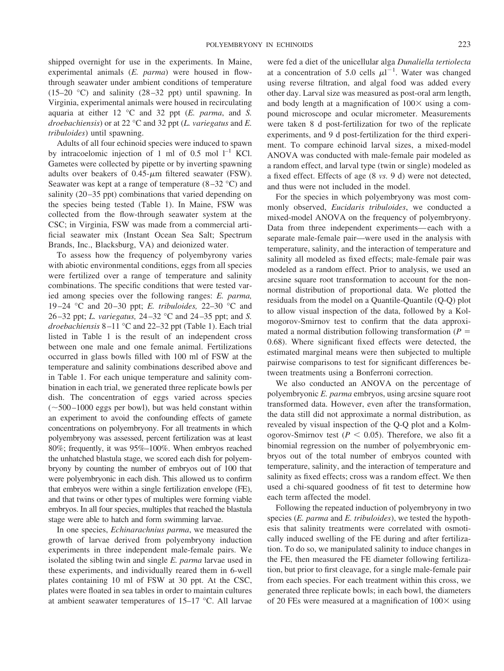shipped overnight for use in the experiments. In Maine, experimental animals (*E. parma*) were housed in flowthrough seawater under ambient conditions of temperature  $(15-20$  °C) and salinity  $(28-32$  ppt) until spawning. In Virginia, experimental animals were housed in recirculating aquaria at either 12 °C and 32 ppt (*E. parma*, and *S. droebachiensis*) or at 22 °C and 32 ppt (*L. variegatus* and *E. tribuloides*) until spawning.

Adults of all four echinoid species were induced to spawn by intracoelomic injection of 1 ml of 0.5 mol  $l^{-1}$  KCl. Gametes were collected by pipette or by inverting spawning adults over beakers of  $0.45$ - $\mu$ m filtered seawater (FSW). Seawater was kept at a range of temperature  $(8-32 \degree C)$  and salinity (20–35 ppt) combinations that varied depending on the species being tested (Table 1). In Maine, FSW was collected from the flow-through seawater system at the CSC; in Virginia, FSW was made from a commercial artificial seawater mix (Instant Ocean Sea Salt; Spectrum Brands, Inc., Blacksburg, VA) and deionized water.

To assess how the frequency of polyembyrony varies with abiotic environmental conditions, eggs from all species were fertilized over a range of temperature and salinity combinations. The specific conditions that were tested varied among species over the following ranges: *E. parma,* 19 –24 °C and 20 –30 ppt; *E. tribuloides,* 22–30 °C and 26 –32 ppt; *L. variegatus,* 24 –32 °C and 24 –35 ppt; and *S. droebachiensis* 8 –11 °C and 22–32 ppt (Table 1). Each trial listed in Table 1 is the result of an independent cross between one male and one female animal. Fertilizations occurred in glass bowls filled with 100 ml of FSW at the temperature and salinity combinations described above and in Table 1. For each unique temperature and salinity combination in each trial, we generated three replicate bowls per dish. The concentration of eggs varied across species  $(\sim 500 - 1000$  eggs per bowl), but was held constant within an experiment to avoid the confounding effects of gamete concentrations on polyembryony. For all treatments in which polyembryony was assessed, percent fertilization was at least 80%; frequently, it was 95%–100%. When embryos reached the unhatched blastula stage, we scored each dish for polyembryony by counting the number of embryos out of 100 that were polyembryonic in each dish. This allowed us to confirm that embryos were within a single fertilization envelope (FE), and that twins or other types of multiples were forming viable embryos. In all four species, multiples that reached the blastula stage were able to hatch and form swimming larvae.

In one species, *Echinarachnius parma*, we measured the growth of larvae derived from polyembryony induction experiments in three independent male-female pairs. We isolated the sibling twin and single *E. parma* larvae used in these experiments, and individually reared them in 6-well plates containing 10 ml of FSW at 30 ppt. At the CSC, plates were floated in sea tables in order to maintain cultures at ambient seawater temperatures of 15–17 °C. All larvae were fed a diet of the unicellular alga *Dunaliella tertiolecta* at a concentration of 5.0 cells  $\mu l^{-1}$ . Water was changed using reverse filtration, and algal food was added every other day. Larval size was measured as post-oral arm length, and body length at a magnification of  $100 \times$  using a compound microscope and ocular micrometer. Measurements were taken 8 d post-fertilization for two of the replicate experiments, and 9 d post-fertilization for the third experiment. To compare echinoid larval sizes, a mixed-model ANOVA was conducted with male-female pair modeled as a random effect, and larval type (twin or single) modeled as a fixed effect. Effects of age (8 *vs.* 9 d) were not detected, and thus were not included in the model.

For the species in which polyembryony was most commonly observed, *Eucidaris tribuloides*, we conducted a mixed-model ANOVA on the frequency of polyembryony. Data from three independent experiments— each with a separate male-female pair—were used in the analysis with temperature, salinity, and the interaction of temperature and salinity all modeled as fixed effects; male-female pair was modeled as a random effect. Prior to analysis, we used an arcsine square root transformation to account for the nonnormal distribution of proportional data. We plotted the residuals from the model on a Quantile-Quantile (Q-Q) plot to allow visual inspection of the data, followed by a Kolmogorov-Smirnov test to confirm that the data approximated a normal distribution following transformation  $(P =$ 0.68). Where significant fixed effects were detected, the estimated marginal means were then subjected to multiple pairwise comparisons to test for significant differences between treatments using a Bonferroni correction.

We also conducted an ANOVA on the percentage of polyembryonic *E. parma* embryos, using arcsine square root transformed data. However, even after the transformation, the data still did not approximate a normal distribution, as revealed by visual inspection of the Q-Q plot and a Kolmogorov-Smirnov test ( $P < 0.05$ ). Therefore, we also fit a binomial regression on the number of polyembryonic embryos out of the total number of embryos counted with temperature, salinity, and the interaction of temperature and salinity as fixed effects; cross was a random effect. We then used a chi-squared goodness of fit test to determine how each term affected the model.

Following the repeated induction of polyembryony in two species (*E. parma* and *E. tribuloides*), we tested the hypothesis that salinity treatments were correlated with osmotically induced swelling of the FE during and after fertilization. To do so, we manipulated salinity to induce changes in the FE, then measured the FE diameter following fertilization, but prior to first cleavage, for a single male-female pair from each species. For each treatment within this cross, we generated three replicate bowls; in each bowl, the diameters of 20 FEs were measured at a magnification of  $100 \times$  using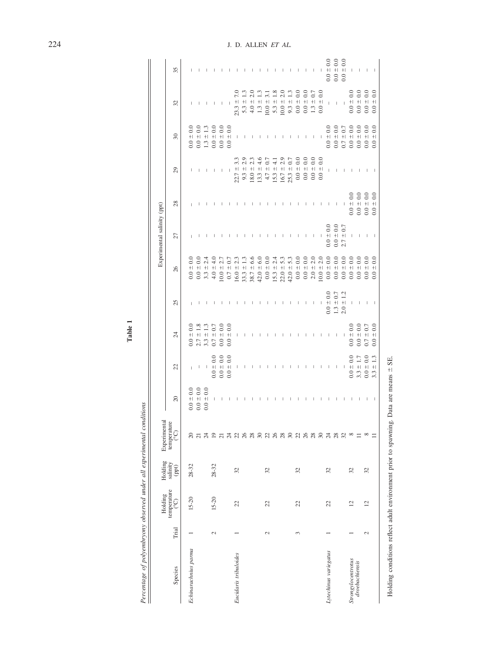Percentage of polyembryony observed under all experimental conditions *Percentage of polyembryony observed under all experimental conditions*

|                       |        | Holding                        |                                                                                | Experimental                                                    |                                       |                                                           |                                       |                                       |                                           | Experimental salinity (ppt) |                                    |                                                                           |                                                                       |                                                 |                                       |
|-----------------------|--------|--------------------------------|--------------------------------------------------------------------------------|-----------------------------------------------------------------|---------------------------------------|-----------------------------------------------------------|---------------------------------------|---------------------------------------|-------------------------------------------|-----------------------------|------------------------------------|---------------------------------------------------------------------------|-----------------------------------------------------------------------|-------------------------------------------------|---------------------------------------|
| Species               | Trial  | temperature<br>$\widetilde{C}$ | $\begin{array}{c} \text{Holding} \\ \text{sality} \\ (\text{ppt}) \end{array}$ | temperature<br>$\binom{^{\circ}{\mathbb C}}{^{\circ}\mathbb C}$ | $\approx$                             | 22                                                        | 24                                    | 25                                    | 26                                        | 27                          | 28                                 | 29                                                                        | 30                                                                    | 32                                              | 35                                    |
| Echinarachnius parma  |        | $15 - 20$                      | $28 - 32$                                                                      |                                                                 | $0.0 \pm 0.0$                         | $\mathbf{L}$                                              | $\pm$ 0.0<br>0.0                      | $\mathbf{I}$                          | $\overline{0}$<br>$\bf + $<br>0.0         | $\overline{1}$              |                                    | $\mathbb{I}$                                                              | $0.0 \pm 0.0$                                                         | $\begin{array}{c} \hline \end{array}$           | $\ $                                  |
|                       |        |                                |                                                                                | ನ ನ                                                             | $0.0 \pm 0.0$                         |                                                           | $\pm$ 1.8<br>2.7                      | $\mathsf{I}$                          | $0.0 +$<br>0.0                            | $\,$ $\,$                   |                                    | $\mathbf{I}$                                                              | $0.0 \pm 0.0$                                                         |                                                 |                                       |
|                       |        |                                |                                                                                | Ň                                                               | $= 0.0$<br>0.0                        |                                                           | $+1$<br>3.3                           | $\mathbf{I}$                          | 2.4<br>$3.3 +$                            | $\mathbb T$                 |                                    | $\mathbf{I}$                                                              |                                                                       | $\mathsf{I}$                                    |                                       |
|                       | $\sim$ | $15 - 20$                      | $28 - 32$                                                                      |                                                                 | $\mathbb{I}$                          | $ -$ 0.0<br>0.0 $\pm$ 0.0                                 | $\pm$ 0.7<br>0.7                      | $\mathsf I$                           | $rac{1}{4}$<br>$4.0 \pm$                  | $\mathsf I$                 | $\mathsf{I}$                       | $\mathbf{I}$                                                              | $\begin{array}{c} 1.3 \, \pm \, 1.3 \\ 0.0 \, \pm \, 0.0 \end{array}$ | $\mathbf{I}$                                    | $\begin{array}{c} \hline \end{array}$ |
|                       |        |                                |                                                                                |                                                                 | $\blacksquare$                        | $\begin{array}{c} 0.0 \pm 0.0 \\ 0.0 \pm 0.0 \end{array}$ | $0.0 \pm 0.0$                         | $\,$ $\,$                             | $10.0 \pm 2.7$                            | $\mathsf I$                 | $\mathsf I$                        | $\blacksquare$                                                            | $0.0 \pm 0.0$                                                         | $\blacksquare$                                  | $\begin{array}{c} \hline \end{array}$ |
|                       |        |                                |                                                                                |                                                                 | $\Box$                                |                                                           | $\pm$ 0.0<br>0.0                      | $\begin{array}{c} \hline \end{array}$ | $= 0.7$<br>0.7                            | $\mathbf{I}$                | $\mathsf I$                        |                                                                           | $\pm$ 0.0<br>0.0                                                      | $\blacksquare$                                  | $\mathsf I$                           |
| Eucidaris tribuloides |        | $\mathfrak{L}$                 | 32                                                                             | 5 5 5 5 5 6 5 6 7 6 7 6 7 6                                     | $\overline{\phantom{a}}$              | $\,$ $\,$                                                 | $\,$ $\,$                             | $\overline{\phantom{a}}$              | 23<br>$16.0 \pm$                          | $\mathsf I$                 |                                    | 3.3<br>$\bf + $<br>22.7                                                   | $\,$ $\,$                                                             | $\tilde{\nu}$<br>$\qquad \qquad + \mid$<br>23.3 |                                       |
|                       |        |                                |                                                                                |                                                                 | $\mathsf{I}$                          | $\mathbf{1}$                                              | $\mathsf I$                           | $\mathsf{I}$                          | $33.3 \pm 1$                              | $\mathbb{I}$                |                                    | $9.3 \pm 2.$                                                              | $\mathbb{I}$                                                          | $5.3 \pm 1.3$                                   | $\mathsf{I}$                          |
|                       |        |                                |                                                                                |                                                                 | $\mathsf I$                           | $\mathsf I$                                               | $\mathsf I$                           | $\mathsf I$                           | 6.6<br>$38.7 \pm$                         | $\mathsf I$                 | $\mathsf{I}$                       | $8.0 \pm 2.3$                                                             | $\mathsf I$                                                           | 2.0<br>$4.0 \pm 7$                              | $\mathsf I$                           |
|                       |        |                                |                                                                                |                                                                 | $\begin{array}{c} \hline \end{array}$ | $\mathsf I$                                               | $\perp$                               | $\mathsf I$                           | $42.0 \pm 6.0$                            | $\mathsf I$                 | $\mathbf{I}$                       | $rac{6}{4}$<br>$13.3 \pm$                                                 | $\,$ $\,$                                                             | $1.3 \pm 1.3$                                   | $\overline{\phantom{a}}$              |
|                       | 2      | 22                             | 32                                                                             |                                                                 | $\mathbb{I}$                          | $\mathsf{I}$                                              | $\mathbb{I}$                          | $\mathsf I$                           | $0.0 \pm 0.0$                             | L                           | т                                  | $4.7 \pm 0.7$                                                             | L                                                                     | 3.1<br>$10.0 \pm 7$                             | L                                     |
|                       |        |                                |                                                                                |                                                                 | $\mathbb T$                           | $\mathbf{I}$                                              | $\mathbf{I}$                          | $\mathbb T$                           | $15.3 \pm 2.4$                            | $\mathbb T$                 | $\mathbf{I}$                       | $\frac{1}{4}$<br>$15.3 \pm$                                               | $\mathbf{I}$                                                          | $5.3 \pm 1.8$                                   | $\mathbb T$                           |
|                       |        |                                |                                                                                |                                                                 | $\,$ $\,$                             | $\mathsf{I}$                                              | I                                     | $\begin{array}{c} \hline \end{array}$ | $22.0 \pm 5.3$                            | $\mathbb{I}$                | $\mathsf{I}$                       | $16.7 \pm 2.9$                                                            | $\overline{1}$                                                        | $10.0 \pm 2.0$                                  | $\mathbf{I}$                          |
|                       |        |                                |                                                                                |                                                                 | $\begin{array}{c} \hline \end{array}$ | $\begin{array}{c} \hline \end{array}$                     | $\begin{array}{c} \hline \end{array}$ | $\overline{1}$                        | $42.0 \pm 5.3$                            | $\mathbb{I}$                | $\mathbb{I}$                       | $25.3 \pm 0.7$                                                            | $\mathbf{I}$                                                          | $9.3 \pm 1.3$                                   | $\,$ $\,$                             |
|                       | 3      | 22                             | 32                                                                             |                                                                 | $\mathsf I$                           | $\,$ $\,$                                                 | $\begin{array}{c} \hline \end{array}$ | $\mathsf I$                           | $0.0 \pm 0.0$                             | $\overline{\phantom{a}}$    | $\mathbf{I}$                       | $0.0 \pm 0.0$                                                             | $\mathbf{I}$                                                          | $0.0 \pm 0.0$                                   | $\mathbf{I}$                          |
|                       |        |                                |                                                                                |                                                                 | $\mathsf I$                           | $\mathbb{I}$                                              | $\overline{1}$                        | $\mathbf{I}$                          | $0.0 \pm 0.0$                             | $\mathbb{R}$                | $\mathbf{I}$                       |                                                                           |                                                                       | $0.0 \pm 0.0$                                   |                                       |
|                       |        |                                |                                                                                |                                                                 | $\,$ $\,$                             | $\overline{\phantom{a}}$                                  | $\begin{array}{c} \hline \end{array}$ | $\mathbb{I}$                          | $2.0 \pm 2.0$<br>10.0 $\pm$ 2.0           | $\mathbb{L}$                | $\overline{\phantom{a}}$           | $\begin{array}{c} 0.0 \ 0.0 \\ 0.0 \ 0.0 \\ 0.0 \ 0.0 \\ 0.0 \end{array}$ | $\mathsf I$                                                           | $\pm$ 0.7<br>$1.3\,$                            | $\mathsf I$                           |
|                       |        |                                |                                                                                |                                                                 | $\,$ $\,$                             | $\blacksquare$                                            | $\mathsf I$                           | $\,$ $\,$                             |                                           | $\Box$                      | $\mathbb{I}$                       |                                                                           | $\blacksquare$                                                        | $0.0 \pm 0.0$                                   | $\blacksquare$                        |
| Lytechinus variegatus |        | 22                             | 32                                                                             |                                                                 | $\mathsf I$                           | $\mathbb{I}$                                              | $\mathsf I$                           | $0.0 \pm 0.0$                         | $0.0 \pm 0.0$                             | $\pm$ 0.0<br>0.0            | $\mathbb{I}$                       | $\mathbb{L}$                                                              | $0.0 \pm 0.0$                                                         | $\mathbf{1}$                                    | $0.0 \pm 0.0$                         |
|                       |        |                                |                                                                                | 5233                                                            | $\mathbf{I}$                          | $\pm$ $\pm$                                               | $\mathbb{I}$                          | $1.3\pm0.7$ $2.0\pm1.2$               | $0.0 \pm 0.0$                             | $0.0 \pm 0.0$               | $-1$                               | $\pm$ 1                                                                   | $0.0 \pm 0.0$                                                         | $\pm$                                           | $0.0 \pm 0.0$                         |
|                       |        |                                |                                                                                |                                                                 | $\blacksquare$                        |                                                           | $\,$ $\,$                             |                                       | 0.0<br>$0.0 \pm$                          | $\pm$ 0.7<br>2.7            |                                    | $\sim 1$                                                                  | $0.7 \pm 0.7$                                                         | $\sim$ 1                                        | $0.0 \pm 0.0$                         |
| Strongylocentrotus    |        | $\overline{c}$                 | 32                                                                             |                                                                 | $\mathbb{I}$                          | $0.0 +$<br>0.0                                            | $0.0 \pm 0.0$                         | $\mathbb T$                           | $_{0.0}$<br>$0.0 \pm$                     | $\mathsf I$                 | $_{\odot}$<br>$\bf + \bf  $<br>0.0 | $\mathsf I$                                                               | $0.0\,\pm\,0.0$                                                       | $0.0 +$                                         | $\mathbb I$                           |
| droebachiensis        |        |                                |                                                                                |                                                                 | $\,$ $\,$                             | $3.3 \pm 1.7$                                             | $0.0 \pm 0.0$                         | $\mathbb{I}$                          | $\overline{0}$<br>$\pm \mathrm{l}$<br>0.0 | $\mathcal{A}$               | $0.0 \pm 0.0$                      | $\mathcal{A}$                                                             | $\pm$ 0.0<br>$0.0\,$                                                  | $0.0 \pm 0.0$                                   | $\mathbf{I}$                          |
|                       | 2      | $\overline{c}$                 | 32                                                                             |                                                                 | I                                     | $0.0 \pm 0.0$                                             | $0.7 \pm 0.7$                         | $\mathsf I$                           | $0.0 \pm 0.0$                             | $\mathsf I$                 | $0.0 \pm 0.0$                      | $\overline{1}$                                                            | $0.0 \pm 0.0$                                                         | $0.0 \pm 0.0$                                   | $\mathbf{I}$                          |
|                       |        |                                |                                                                                |                                                                 | $\overline{\phantom{0}}$              | $\bf + $<br>3.3                                           | $= 0.0$<br>0.0                        | $\blacksquare$                        | $_{0.0}$<br>$\bf + $<br>0.0               | $\overline{\phantom{0}}$    | 0.0<br>$\bf + $<br>0.0             | $\blacksquare$                                                            | 0.0<br>$\bf + $<br>0.0                                                | $= 0.0$<br>0.0                                  |                                       |
|                       |        |                                |                                                                                |                                                                 |                                       |                                                           |                                       |                                       |                                           |                             |                                    |                                                                           |                                                                       |                                                 |                                       |

Holding conditions reflect adult environment prior to spawning. Data are means  $\pm$  SE.

Holding conditions reflect adult environment prior to spawning. Data are means ± SE.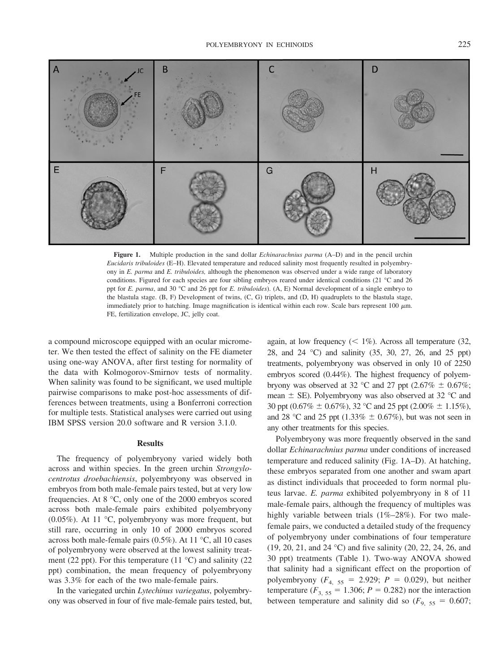

**Figure 1.** Multiple production in the sand dollar *Echinarachnius parma* (A–D) and in the pencil urchin *Eucidaris tribuloides* (E–H). Elevated temperature and reduced salinity most frequently resulted in polyembryony in *E. parma* and *E. tribuloides,* although the phenomenon was observed under a wide range of laboratory conditions. Figured for each species are four sibling embryos reared under identical conditions (21 °C and 26 ppt for *E. parma*, and 30 °C and 26 ppt for *E. tribuloides*). (A, E) Normal development of a single embryo to the blastula stage. (B, F) Development of twins, (C, G) triplets, and (D, H) quadruplets to the blastula stage, immediately prior to hatching. Image magnification is identical within each row. Scale bars represent 100  $\mu$ m. FE, fertilization envelope, JC, jelly coat.

a compound microscope equipped with an ocular micrometer. We then tested the effect of salinity on the FE diameter using one-way ANOVA, after first testing for normality of the data with Kolmogorov-Smirnov tests of normality. When salinity was found to be significant, we used multiple pairwise comparisons to make post-hoc assessments of differences between treatments, using a Bonferroni correction for multiple tests. Statistical analyses were carried out using IBM SPSS version 20.0 software and R version 3.1.0.

#### **Results**

The frequency of polyembryony varied widely both across and within species. In the green urchin *Strongylocentrotus droebachiensis*, polyembryony was observed in embryos from both male-female pairs tested, but at very low frequencies. At 8 °C, only one of the 2000 embryos scored across both male-female pairs exhibited polyembryony (0.05%). At 11 °C, polyembryony was more frequent, but still rare, occurring in only 10 of 2000 embryos scored across both male-female pairs (0.5%). At 11 °C, all 10 cases of polyembryony were observed at the lowest salinity treatment (22 ppt). For this temperature (11  $^{\circ}$ C) and salinity (22 ppt) combination, the mean frequency of polyembryony was 3.3% for each of the two male-female pairs.

In the variegated urchin *Lytechinus variegatus*, polyembryony was observed in four of five male-female pairs tested, but, again, at low frequency  $(< 1\%)$ . Across all temperature (32, 28, and 24 °C) and salinity (35, 30, 27, 26, and 25 ppt) treatments, polyembryony was observed in only 10 of 2250 embryos scored (0.44%). The highest frequency of polyembryony was observed at 32 °C and 27 ppt (2.67%  $\pm$  0.67%; mean  $\pm$  SE). Polyembryony was also observed at 32 °C and 30 ppt (0.67%  $\pm$  0.67%), 32 °C and 25 ppt (2.00%  $\pm$  1.15%), and 28 °C and 25 ppt (1.33%  $\pm$  0.67%), but was not seen in any other treatments for this species.

Polyembryony was more frequently observed in the sand dollar *Echinarachnius parma* under conditions of increased temperature and reduced salinity (Fig. 1A–D). At hatching, these embryos separated from one another and swam apart as distinct individuals that proceeded to form normal pluteus larvae. *E. parma* exhibited polyembryony in 8 of 11 male-female pairs, although the frequency of multiples was highly variable between trials (1%–28%). For two malefemale pairs, we conducted a detailed study of the frequency of polyembryony under combinations of four temperature (19, 20, 21, and 24 °C) and five salinity (20, 22, 24, 26, and 30 ppt) treatments (Table 1). Two-way ANOVA showed that salinity had a significant effect on the proportion of polyembryony  $(F_{4, 55} = 2.929; P = 0.029)$ , but neither temperature ( $F_{3, 55} = 1.306$ ;  $P = 0.282$ ) nor the interaction between temperature and salinity did so  $(F_{9, 55} = 0.607;$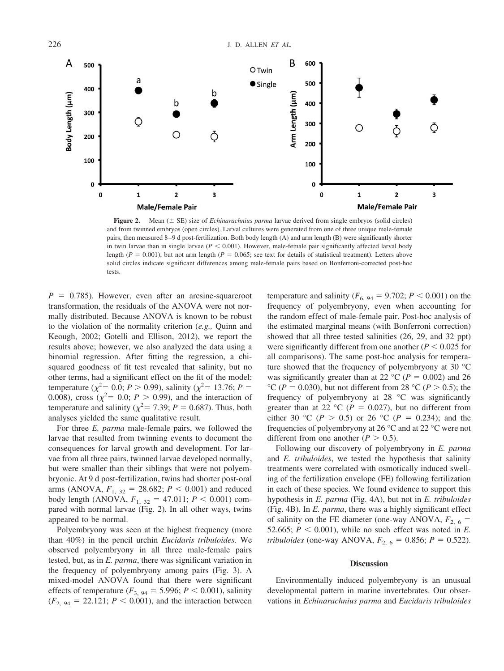

**Figure 2.** Mean  $(\pm \text{ SE})$  size of *Echinarachnius parma* larvae derived from single embryos (solid circles) and from twinned embryos (open circles). Larval cultures were generated from one of three unique male-female pairs, then measured 8 –9 d post-fertilization. Both body length (A) and arm length (B) were significantly shorter in twin larvae than in single larvae  $(P < 0.001)$ . However, male-female pair significantly affected larval body length ( $P = 0.001$ ), but not arm length ( $P = 0.065$ ; see text for details of statistical treatment). Letters above solid circles indicate significant differences among male-female pairs based on Bonferroni-corrected post-hoc tests.

 $P = 0.785$ ). However, even after an arcsine-squareroot transformation, the residuals of the ANOVA were not normally distributed. Because ANOVA is known to be robust to the violation of the normality criterion (*e.g.,* Quinn and Keough, 2002; Gotelli and Ellison, 2012), we report the results above; however, we also analyzed the data using a binomial regression. After fitting the regression, a chisquared goodness of fit test revealed that salinity, but no other terms, had a significant effect on the fit of the model: temperature ( $\chi^2$  = 0.0; *P* > 0.99), salinity ( $\chi^2$  = 13.76; *P* = 0.008), cross  $(\chi^2 = 0.0; P > 0.99)$ , and the interaction of temperature and salinity ( $\chi^2$  = 7.39; *P* = 0.687). Thus, both analyses yielded the same qualitative result.

For three *E. parma* male-female pairs, we followed the larvae that resulted from twinning events to document the consequences for larval growth and development. For larvae from all three pairs, twinned larvae developed normally, but were smaller than their siblings that were not polyembryonic. At 9 d post-fertilization, twins had shorter post-oral arms (ANOVA,  $F_{1, 32} = 28.682$ ;  $P < 0.001$ ) and reduced body length (ANOVA,  $F_{1, 32} = 47.011$ ;  $P < 0.001$ ) compared with normal larvae (Fig. 2). In all other ways, twins appeared to be normal.

Polyembryony was seen at the highest frequency (more than 40%) in the pencil urchin *Eucidaris tribuloides*. We observed polyembryony in all three male-female pairs tested, but, as in *E. parma*, there was significant variation in the frequency of polyembryony among pairs (Fig. 3). A mixed-model ANOVA found that there were significant effects of temperature ( $F_{3, 94} = 5.996$ ;  $P < 0.001$ ), salinity  $(F_{2, 94} = 22.121; P \le 0.001)$ , and the interaction between temperature and salinity ( $F_{6, 94} = 9.702$ ;  $P < 0.001$ ) on the frequency of polyembryony, even when accounting for the random effect of male-female pair. Post-hoc analysis of the estimated marginal means (with Bonferroni correction) showed that all three tested salinities (26, 29, and 32 ppt) were significantly different from one another  $(P < 0.025$  for all comparisons). The same post-hoc analysis for temperature showed that the frequency of polyembryony at 30 °C was significantly greater than at 22 °C ( $P = 0.002$ ) and 26 °C ( $P = 0.030$ ), but not different from 28 °C ( $P > 0.5$ ); the frequency of polyembryony at 28 °C was significantly greater than at 22 °C ( $P = 0.027$ ), but no different from either 30 °C ( $P > 0.5$ ) or 26 °C ( $P = 0.234$ ); and the frequencies of polyembryony at 26 °C and at 22 °C were not different from one another  $(P > 0.5)$ .

Following our discovery of polyembryony in *E. parma* and *E. tribuloides*, we tested the hypothesis that salinity treatments were correlated with osmotically induced swelling of the fertilization envelope (FE) following fertilization in each of these species. We found evidence to support this hypothesis in *E. parma* (Fig. 4A), but not in *E. tribuloides* (Fig. 4B). In *E. parma*, there was a highly significant effect of salinity on the FE diameter (one-way ANOVA,  $F_{2, 6}$  = 52.665;  $P < 0.001$ ), while no such effect was noted in *E*. *tribuloides* (one-way ANOVA,  $F_{2, 6} = 0.856$ ;  $P = 0.522$ ).

## **Discussion**

Environmentally induced polyembryony is an unusual developmental pattern in marine invertebrates. Our observations in *Echinarachnius parma* and *Eucidaris tribuloides*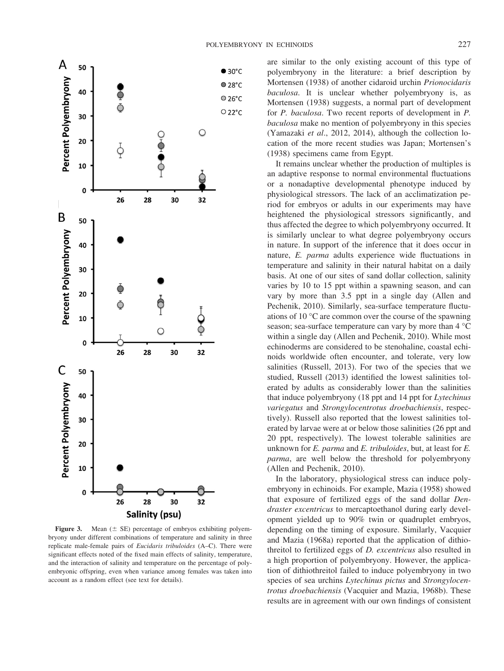

**Figure 3.** Mean  $(\pm \text{ SE})$  percentage of embryos exhibiting polyembryony under different combinations of temperature and salinity in three replicate male-female pairs of *Eucidaris tribuloides* (A–C). There were significant effects noted of the fixed main effects of salinity, temperature, and the interaction of salinity and temperature on the percentage of polyembryonic offspring, even when variance among females was taken into account as a random effect (see text for details).

are similar to the only existing account of this type of polyembryony in the literature: a brief description by Mortensen (1938) of another cidaroid urchin *Prionocidaris baculosa*. It is unclear whether polyembryony is, as Mortensen (1938) suggests, a normal part of development for *P. baculosa*. Two recent reports of development in *P. baculosa* make no mention of polyembryony in this species (Yamazaki *et al*., 2012, 2014), although the collection location of the more recent studies was Japan; Mortensen's (1938) specimens came from Egypt.

It remains unclear whether the production of multiples is an adaptive response to normal environmental fluctuations or a nonadaptive developmental phenotype induced by physiological stressors. The lack of an acclimatization period for embryos or adults in our experiments may have heightened the physiological stressors significantly, and thus affected the degree to which polyembryony occurred. It is similarly unclear to what degree polyembryony occurs in nature. In support of the inference that it does occur in nature, *E. parma* adults experience wide fluctuations in temperature and salinity in their natural habitat on a daily basis. At one of our sites of sand dollar collection, salinity varies by 10 to 15 ppt within a spawning season, and can vary by more than 3.5 ppt in a single day (Allen and Pechenik, 2010). Similarly, sea-surface temperature fluctuations of 10 °C are common over the course of the spawning season; sea-surface temperature can vary by more than 4 °C within a single day (Allen and Pechenik, 2010). While most echinoderms are considered to be stenohaline, coastal echinoids worldwide often encounter, and tolerate, very low salinities (Russell, 2013). For two of the species that we studied, Russell (2013) identified the lowest salinities tolerated by adults as considerably lower than the salinities that induce polyembryony (18 ppt and 14 ppt for *Lytechinus variegatus* and *Strongylocentrotus droebachiensis*, respectively). Russell also reported that the lowest salinities tolerated by larvae were at or below those salinities (26 ppt and 20 ppt, respectively). The lowest tolerable salinities are unknown for *E. parma* and *E. tribuloides*, but, at least for *E. parma*, are well below the threshold for polyembryony (Allen and Pechenik, 2010).

In the laboratory, physiological stress can induce polyembryony in echinoids. For example, Mazia (1958) showed that exposure of fertilized eggs of the sand dollar *Dendraster excentricus* to mercaptoethanol during early development yielded up to 90% twin or quadruplet embryos, depending on the timing of exposure. Similarly, Vacquier and Mazia (1968a) reported that the application of dithiothreitol to fertilized eggs of *D. excentricus* also resulted in a high proportion of polyembryony. However, the application of dithiothreitol failed to induce polyembryony in two species of sea urchins *Lytechinus pictus* and *Strongylocentrotus droebachiensis* (Vacquier and Mazia, 1968b). These results are in agreement with our own findings of consistent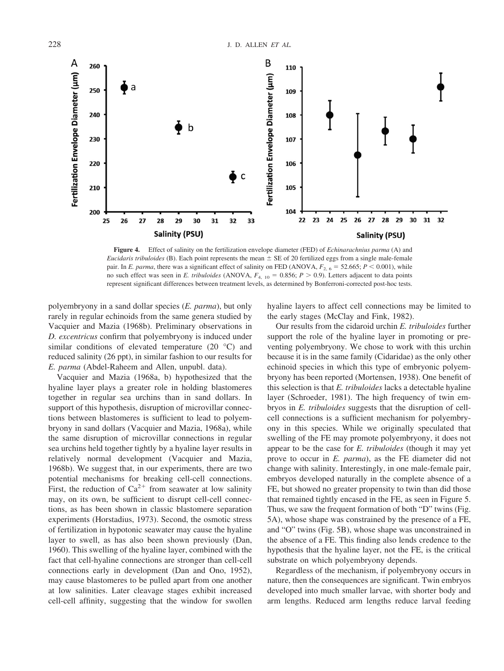

**Figure 4.** Effect of salinity on the fertilization envelope diameter (FED) of *Echinarachnius parma* (A) and *Eucidaris tribuloides* (B). Each point represents the mean  $\pm$  SE of 20 fertilized eggs from a single male-female pair. In *E. parma*, there was a significant effect of salinity on FED (ANOVA,  $F_{2, 6} = 52.665$ ;  $P < 0.001$ ), while no such effect was seen in *E. tribuloides* (ANOVA,  $F_{4, 10} = 0.856$ ;  $P > 0.9$ ). Letters adjacent to data points represent significant differences between treatment levels, as determined by Bonferroni-corrected post-hoc tests.

polyembryony in a sand dollar species (*E. parma*), but only rarely in regular echinoids from the same genera studied by Vacquier and Mazia (1968b). Preliminary observations in *D. excentricus* confirm that polyembryony is induced under similar conditions of elevated temperature  $(20 \degree C)$  and reduced salinity (26 ppt), in similar fashion to our results for *E. parma* (Abdel-Raheem and Allen, unpubl. data).

Vacquier and Mazia (1968a, b) hypothesized that the hyaline layer plays a greater role in holding blastomeres together in regular sea urchins than in sand dollars. In support of this hypothesis, disruption of microvillar connections between blastomeres is sufficient to lead to polyembryony in sand dollars (Vacquier and Mazia, 1968a), while the same disruption of microvillar connections in regular sea urchins held together tightly by a hyaline layer results in relatively normal development (Vacquier and Mazia, 1968b). We suggest that, in our experiments, there are two potential mechanisms for breaking cell-cell connections. First, the reduction of  $Ca^{2+}$  from seawater at low salinity may, on its own, be sufficient to disrupt cell-cell connections, as has been shown in classic blastomere separation experiments (Horstadius, 1973). Second, the osmotic stress of fertilization in hypotonic seawater may cause the hyaline layer to swell, as has also been shown previously (Dan, 1960). This swelling of the hyaline layer, combined with the fact that cell-hyaline connections are stronger than cell-cell connections early in development (Dan and Ono, 1952), may cause blastomeres to be pulled apart from one another at low salinities. Later cleavage stages exhibit increased cell-cell affinity, suggesting that the window for swollen

hyaline layers to affect cell connections may be limited to the early stages (McClay and Fink, 1982).

Our results from the cidaroid urchin *E. tribuloides* further support the role of the hyaline layer in promoting or preventing polyembryony. We chose to work with this urchin because it is in the same family (Cidaridae) as the only other echinoid species in which this type of embryonic polyembryony has been reported (Mortensen, 1938). One benefit of this selection is that *E. tribuloides* lacks a detectable hyaline layer (Schroeder, 1981). The high frequency of twin embryos in *E. tribuloides* suggests that the disruption of cellcell connections is a sufficient mechanism for polyembryony in this species. While we originally speculated that swelling of the FE may promote polyembryony, it does not appear to be the case for *E. tribuloides* (though it may yet prove to occur in *E. parma*), as the FE diameter did not change with salinity. Interestingly, in one male-female pair, embryos developed naturally in the complete absence of a FE, but showed no greater propensity to twin than did those that remained tightly encased in the FE, as seen in Figure 5. Thus, we saw the frequent formation of both "D" twins (Fig. 5A), whose shape was constrained by the presence of a FE, and "O" twins (Fig. 5B), whose shape was unconstrained in the absence of a FE. This finding also lends credence to the hypothesis that the hyaline layer, not the FE, is the critical substrate on which polyembryony depends.

Regardless of the mechanism, if polyembryony occurs in nature, then the consequences are significant. Twin embryos developed into much smaller larvae, with shorter body and arm lengths. Reduced arm lengths reduce larval feeding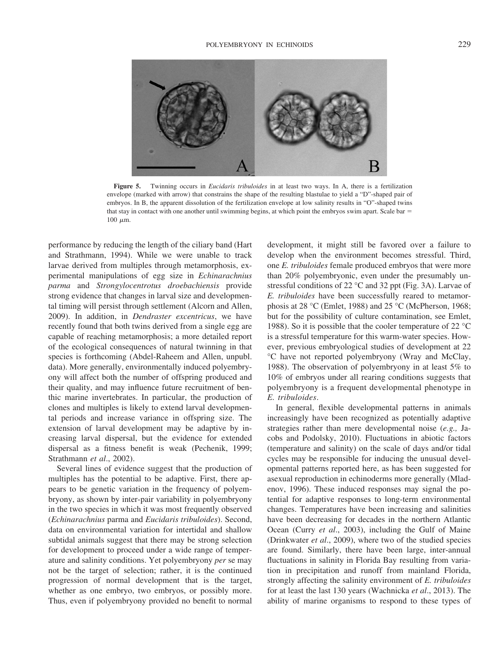

**Figure 5.** Twinning occurs in *Eucidaris tribuloides* in at least two ways. In A, there is a fertilization envelope (marked with arrow) that constrains the shape of the resulting blastulae to yield a "D"-shaped pair of embryos. In B, the apparent dissolution of the fertilization envelope at low salinity results in "O"-shaped twins that stay in contact with one another until swimming begins, at which point the embryos swim apart. Scale bar  $=$ 100  $\mu$ m.

performance by reducing the length of the ciliary band (Hart and Strathmann, 1994). While we were unable to track larvae derived from multiples through metamorphosis, experimental manipulations of egg size in *Echinarachnius parma* and *Strongylocentrotus droebachiensis* provide strong evidence that changes in larval size and developmental timing will persist through settlement (Alcorn and Allen, 2009). In addition, in *Dendraster excentricus*, we have recently found that both twins derived from a single egg are capable of reaching metamorphosis; a more detailed report of the ecological consequences of natural twinning in that species is forthcoming (Abdel-Raheem and Allen, unpubl. data). More generally, environmentally induced polyembryony will affect both the number of offspring produced and their quality, and may influence future recruitment of benthic marine invertebrates. In particular, the production of clones and multiples is likely to extend larval developmental periods and increase variance in offspring size. The extension of larval development may be adaptive by increasing larval dispersal, but the evidence for extended dispersal as a fitness benefit is weak (Pechenik, 1999; Strathmann *et al*., 2002).

Several lines of evidence suggest that the production of multiples has the potential to be adaptive. First, there appears to be genetic variation in the frequency of polyembryony, as shown by inter-pair variability in polyembryony in the two species in which it was most frequently observed (*Echinarachnius* parma and *Eucidaris tribuloides*). Second, data on environmental variation for intertidal and shallow subtidal animals suggest that there may be strong selection for development to proceed under a wide range of temperature and salinity conditions. Yet polyembryony *per* se may not be the target of selection; rather, it is the continued progression of normal development that is the target, whether as one embryo, two embryos, or possibly more. Thus, even if polyembryony provided no benefit to normal

development, it might still be favored over a failure to develop when the environment becomes stressful. Third, one *E. tribuloides* female produced embryos that were more than 20% polyembryonic, even under the presumably unstressful conditions of 22 °C and 32 ppt (Fig. 3A). Larvae of *E. tribuloides* have been successfully reared to metamorphosis at 28 °C (Emlet, 1988) and 25 °C (McPherson, 1968; but for the possibility of culture contamination, see Emlet, 1988). So it is possible that the cooler temperature of 22 °C is a stressful temperature for this warm-water species. However, previous embryological studies of development at 22 °C have not reported polyembryony (Wray and McClay, 1988). The observation of polyembryony in at least 5% to 10% of embryos under all rearing conditions suggests that polyembryony is a frequent developmental phenotype in *E. tribuloides*.

In general, flexible developmental patterns in animals increasingly have been recognized as potentially adaptive strategies rather than mere developmental noise (*e.g.,* Jacobs and Podolsky, 2010). Fluctuations in abiotic factors (temperature and salinity) on the scale of days and/or tidal cycles may be responsible for inducing the unusual developmental patterns reported here, as has been suggested for asexual reproduction in echinoderms more generally (Mladenov, 1996). These induced responses may signal the potential for adaptive responses to long-term environmental changes. Temperatures have been increasing and salinities have been decreasing for decades in the northern Atlantic Ocean (Curry *et al*., 2003), including the Gulf of Maine (Drinkwater *et al*., 2009), where two of the studied species are found. Similarly, there have been large, inter-annual fluctuations in salinity in Florida Bay resulting from variation in precipitation and runoff from mainland Florida, strongly affecting the salinity environment of *E. tribuloides* for at least the last 130 years (Wachnicka *et al*., 2013). The ability of marine organisms to respond to these types of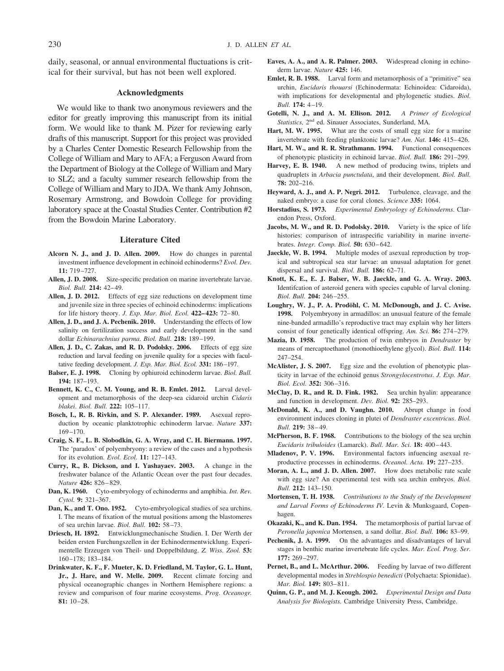daily, seasonal, or annual environmental fluctuations is critical for their survival, but has not been well explored.

## **Acknowledgments**

We would like to thank two anonymous reviewers and the editor for greatly improving this manuscript from its initial form. We would like to thank M. Pizer for reviewing early drafts of this manuscript. Support for this project was provided by a Charles Center Domestic Research Fellowship from the College of William and Mary to AFA; a Ferguson Award from the Department of Biology at the College of William and Mary to SLZ; and a faculty summer research fellowship from the College of William and Mary to JDA. We thank Amy Johnson, Rosemary Armstrong, and Bowdoin College for providing laboratory space at the Coastal Studies Center. Contribution #2 from the Bowdoin Marine Laboratory.

## **Literature Cited**

- **Alcorn N. J., and J. D. Allen. 2009.** How do changes in parental investment influence development in echinoid echinoderms? *Evol. Dev.* **11:** 719 –727.
- **Allen, J. D. 2008.** Size-specific predation on marine invertebrate larvae. *Biol. Bull.* **214:** 42– 49.
- **Allen, J. D. 2012.** Effects of egg size reductions on development time and juvenile size in three species of echinoid echinoderms: implications for life history theory. *J. Exp. Mar. Biol. Ecol.* **422– 423:** 72– 80.
- **Allen, J. D., and J. A. Pechenik. 2010.** Understanding the effects of low salinity on fertilization success and early development in the sand dollar *Echinarachnius parma*. *Biol. Bull.* **218:** 189 –199.
- **Allen, J. D., C. Zakas, and R. D. Podolsky. 2006.** Effects of egg size reduction and larval feeding on juvenile quality for a species with facultative feeding development. *J. Exp. Mar. Biol. Ecol.* **331:** 186 –197.
- **Balser, E. J. 1998.** Cloning by ophiuroid echinoderm larvae. *Biol. Bull.* **194:** 187–193.
- **Bennett, K. C., C. M. Young, and R. B. Emlet. 2012.** Larval development and metamorphosis of the deep-sea cidaroid urchin *Cidaris blakei*. *Biol. Bull.* **222:** 105–117.
- **Bosch, I., R. B. Rivkin, and S. P. Alexander. 1989.** Asexual reproduction by oceanic planktotrophic echinoderm larvae. *Nature* **337:** 169 –170.
- **Craig, S. F., L. B. Slobodkin, G. A. Wray, and C. H. Biermann. 1997.** The 'paradox' of polyembryony: a review of the cases and a hypothesis for its evolution. *Evol. Ecol.* **11:** 127–143.
- **Curry, R., B. Dickson, and I. Yashayaev. 2003.** A change in the freshwater balance of the Atlantic Ocean over the past four decades. *Nature* **426:** 826 – 829.
- **Dan, K. 1960.** Cyto-embryology of echinoderms and amphibia. *Int. Rev. Cytol.* **9:** 321–367.
- **Dan, K., and T. Ono. 1952.** Cyto-embryological studies of sea urchins. I. The means of fixation of the mutual positions among the blastomeres of sea urchin larvae. *Biol. Bull.* **102:** 58 –73.
- **Driesch, H. 1892.** Entwicklungmechanische Studien. I. Der Werth der beiden ersten Furchungszellen in der Echinodermentwicklung. Experimentelle Erzeugen von Theil- und Doppelbildung. *Z. Wiss. Zool.* **53:** 160 –178; 183–184.
- **Drinkwater, K. F., F. Mueter, K. D. Friedland, M. Taylor, G. L. Hunt, Jr., J. Hare, and W. Melle. 2009.** Recent climate forcing and physical oceanographic changes in Northern Hemisphere regions: a review and comparison of four marine ecosystems. *Prog. Oceanogr.* **81:** 10 –28.
- **Eaves, A. A., and A. R. Palmer. 2003.** Widespread cloning in echinoderm larvae. *Nature* **425:** 146.
- **Emlet, R. B. 1988.** Larval form and metamorphosis of a "primitive" sea urchin, *Eucidaris thouarsi* (Echinodermata: Echinoidea: Cidaroida), with implications for developmental and phylogenetic studies. *Biol. Bull.* **174:** 4 –19.
- **Gotelli, N. J., and A. M. Ellison. 2012.** *A Primer of Ecological Statistics,* 2nd ed. Sinauer Associates, Sunderland, MA.
- **Hart, M. W. 1995.** What are the costs of small egg size for a marine invertebrate with feeding planktonic larvae? *Am. Nat.* **146:** 415– 426.
- Hart, M. W., and R. R. Strathmann. 1994. Functional consequences of phenotypic plasticity in echinoid larvae. *Biol. Bull.* **186:** 291–299.
- **Harvey, E. B. 1940.** A new method of producing twins, triplets and quadruplets in *Arbacia punctulata*, and their development. *Biol. Bull.* **78:** 202–216.
- **Heyward, A. J., and A. P. Negri. 2012.** Turbulence, cleavage, and the naked embryo: a case for coral clones. *Science* **335:** 1064.
- **Horstadius, S. 1973.** *Experimental Embryology of Echinoderms*. Clarendon Press, Oxford.
- **Jacobs, M. W., and R. D. Podolsky. 2010.** Variety is the spice of life histories: comparison of intraspecific variability in marine invertebrates. *Integr. Comp. Biol.* **50:** 630 – 642.
- **Jaeckle, W. B. 1994.** Multiple modes of asexual reproduction by tropical and subtropical sea star larvae: an unusual adaptation for genet dispersal and survival. *Biol. Bull.* **186:** 62–71.
- **Knott, K. E., E. J. Balser, W. B. Jaeckle, and G. A. Wray. 2003.** Identifcation of asteroid genera with species capable of larval cloning. *Biol. Bull.* **204:** 246 –255.
- Loughry, W. J., P. A. Prodöhl, C. M. McDonough, and J. C. Avise. **1998.** Polyembryony in armadillos: an unusual feature of the female nine-banded armadillo's reproductive tract may explain why her litters consist of four genetically identical offspring. *Am. Sci.* **86:** 274 –279.
- **Mazia, D. 1958.** The production of twin embryos in *Dendraster* by means of mercaptoethanol (monothioethylene glycol). *Biol. Bull.* **114:** 247–254.
- **McAlister, J. S. 2007.** Egg size and the evolution of phenotypic plasticity in larvae of the echinoid genus *Strongylocentrotus*. *J. Exp. Mar. Biol. Ecol.* **352:** 306 –316.
- **McClay, D. R., and R. D. Fink. 1982.** Sea urchin hyalin: appearance and function in development. *Dev. Biol.* **92:** 285–293.
- **McDonald, K. A., and D. Vaughn. 2010.** Abrupt change in food environment induces cloning in plutei of *Dendraster excentricus*. *Biol. Bull.* **219:** 38 – 49.
- **McPherson, B. F. 1968.** Contributions to the biology of the sea urchin *Eucidaris tribuloides* (Lamarck). *Bull. Mar. Sci.* **18:** 400 – 443.
- **Mladenov, P. V. 1996.** Environmental factors infuencing asexual reproductive processes in echinoderms. *Oceanol. Acta.* **19:** 227–235.
- **Moran, A. L., and J. D. Allen. 2007.** How does metabolic rate scale with egg size? An experimental test with sea urchin embryos. *Biol. Bull.* **212:** 143–150.
- **Mortensen, T. H. 1938.** *Contributions to the Study of the Development and Larval Forms of Echinoderms IV.* Levin & Munksgaard, Copenhagen.
- **Okazaki, K., and K. Dan. 1954.** The metamorphosis of partial larvae of *Peronella japonica* Mortensen, a sand dollar. *Biol. Bull.* **106:** 83–99.
- Pechenik, J. A. 1999. On the advantages and disadvantages of larval stages in benthic marine invertebrate life cycles. *Mar. Ecol. Prog. Ser.* **177:** 269 –297.
- Pernet, B., and L. McArthur. 2006. Feeding by larvae of two different developmental modes in *Streblospio benedicti* (Polychaeta: Spionidae). *Mar. Biol.* **149:** 803– 811.
- **Quinn, G. P., and M. J. Keough. 2002.** *Experimental Design and Data Analysis for Biologists.* Cambridge University Press, Cambridge.